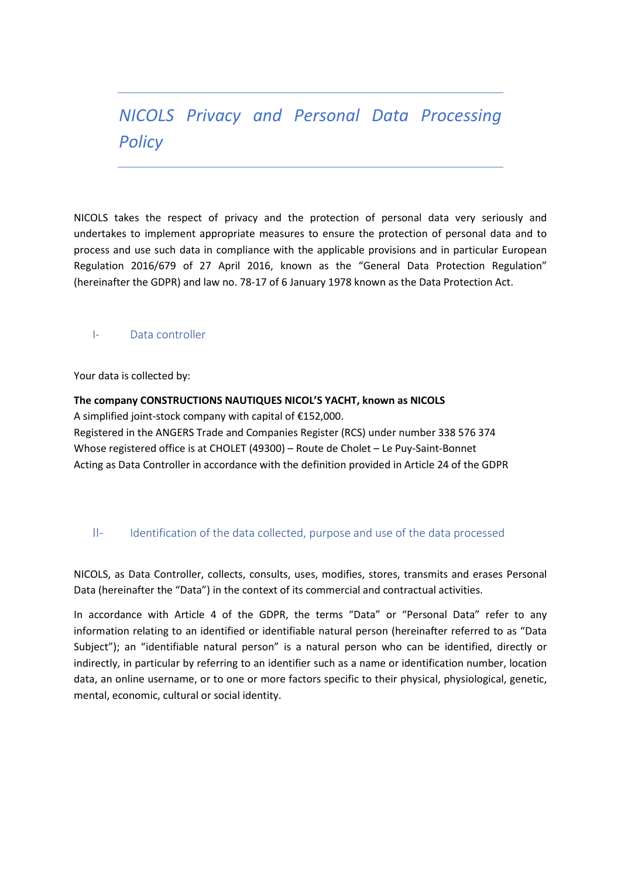# *NICOLS Privacy and Personal Data Processing Policy*

NICOLS takes the respect of privacy and the protection of personal data very seriously and undertakes to implement appropriate measures to ensure the protection of personal data and to process and use such data in compliance with the applicable provisions and in particular European Regulation 2016/679 of 27 April 2016, known as the "General Data Protection Regulation" (hereinafter the GDPR) and law no. 78-17 of 6 January 1978 known as the Data Protection Act.

## I- Data controller

Your data is collected by:

**The company CONSTRUCTIONS NAUTIQUES NICOL'S YACHT, known as NICOLS** A simplified joint-stock company with capital of €152,000. Registered in the ANGERS Trade and Companies Register (RCS) under number 338 576 374 Whose registered office is at CHOLET (49300) – Route de Cholet – Le Puy-Saint-Bonnet Acting as Data Controller in accordance with the definition provided in Article 24 of the GDPR

## II- Identification of the data collected, purpose and use of the data processed

NICOLS, as Data Controller, collects, consults, uses, modifies, stores, transmits and erases Personal Data (hereinafter the "Data") in the context of its commercial and contractual activities.

In accordance with Article 4 of the GDPR, the terms "Data" or "Personal Data" refer to any information relating to an identified or identifiable natural person (hereinafter referred to as "Data Subject"); an "identifiable natural person" is a natural person who can be identified, directly or indirectly, in particular by referring to an identifier such as a name or identification number, location data, an online username, or to one or more factors specific to their physical, physiological, genetic, mental, economic, cultural or social identity.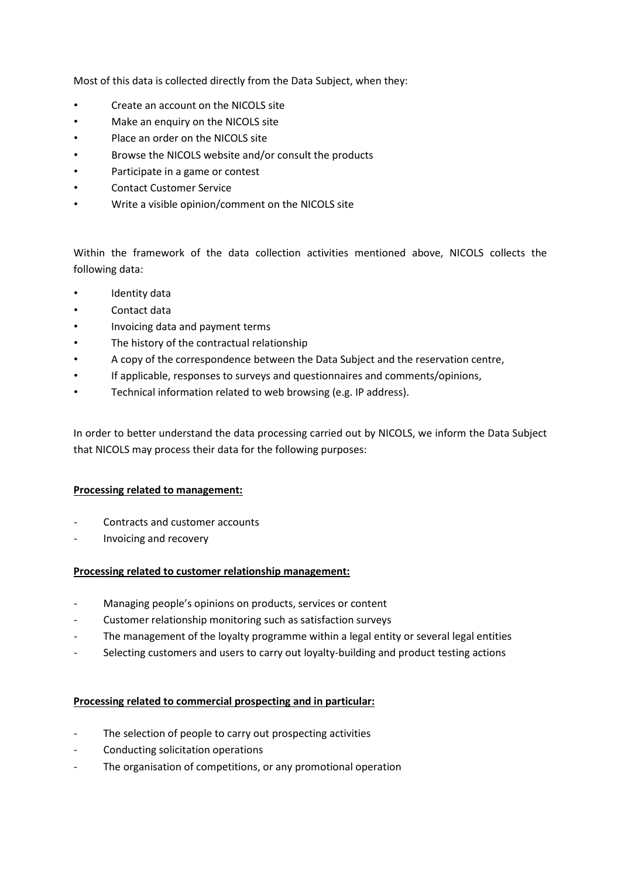Most of this data is collected directly from the Data Subject, when they:

- Create an account on the NICOLS site
- Make an enquiry on the NICOLS site
- Place an order on the NICOLS site
- Browse the NICOLS website and/or consult the products
- Participate in a game or contest
- Contact Customer Service
- Write a visible opinion/comment on the NICOLS site

Within the framework of the data collection activities mentioned above, NICOLS collects the following data:

- Identity data
- Contact data
- Invoicing data and payment terms
- The history of the contractual relationship
- A copy of the correspondence between the Data Subject and the reservation centre,
- If applicable, responses to surveys and questionnaires and comments/opinions,
- Technical information related to web browsing (e.g. IP address).

In order to better understand the data processing carried out by NICOLS, we inform the Data Subject that NICOLS may process their data for the following purposes:

#### **Processing related to management:**

- Contracts and customer accounts
- Invoicing and recovery

## **Processing related to customer relationship management:**

- Managing people's opinions on products, services or content
- Customer relationship monitoring such as satisfaction surveys
- The management of the loyalty programme within a legal entity or several legal entities
- Selecting customers and users to carry out loyalty-building and product testing actions

#### **Processing related to commercial prospecting and in particular:**

- The selection of people to carry out prospecting activities
- Conducting solicitation operations
- The organisation of competitions, or any promotional operation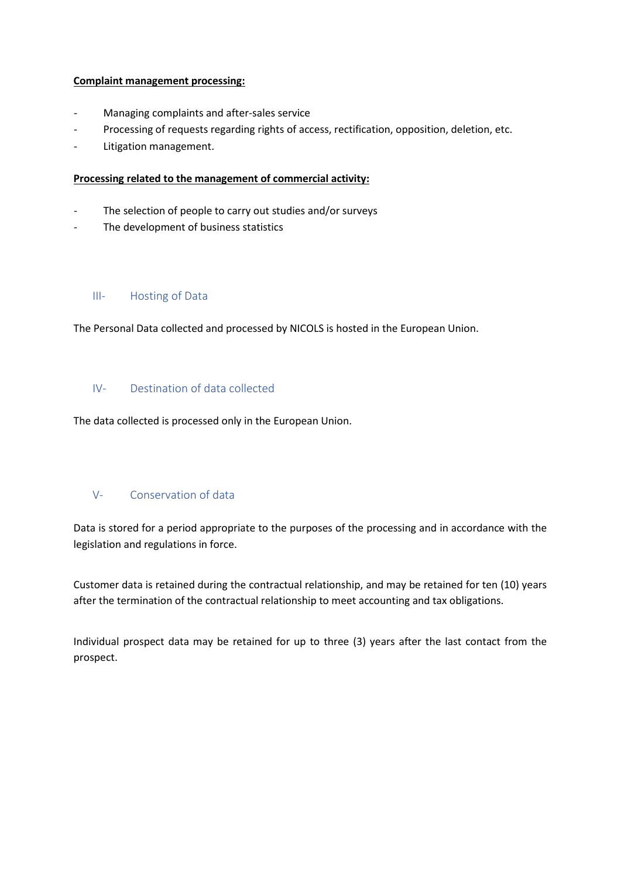## **Complaint management processing:**

- Managing complaints and after-sales service
- Processing of requests regarding rights of access, rectification, opposition, deletion, etc.
- Litigation management.

#### **Processing related to the management of commercial activity:**

- The selection of people to carry out studies and/or surveys
- The development of business statistics

## III- Hosting of Data

The Personal Data collected and processed by NICOLS is hosted in the European Union.

## IV- Destination of data collected

The data collected is processed only in the European Union.

## V- Conservation of data

Data is stored for a period appropriate to the purposes of the processing and in accordance with the legislation and regulations in force.

Customer data is retained during the contractual relationship, and may be retained for ten (10) years after the termination of the contractual relationship to meet accounting and tax obligations.

Individual prospect data may be retained for up to three (3) years after the last contact from the prospect.